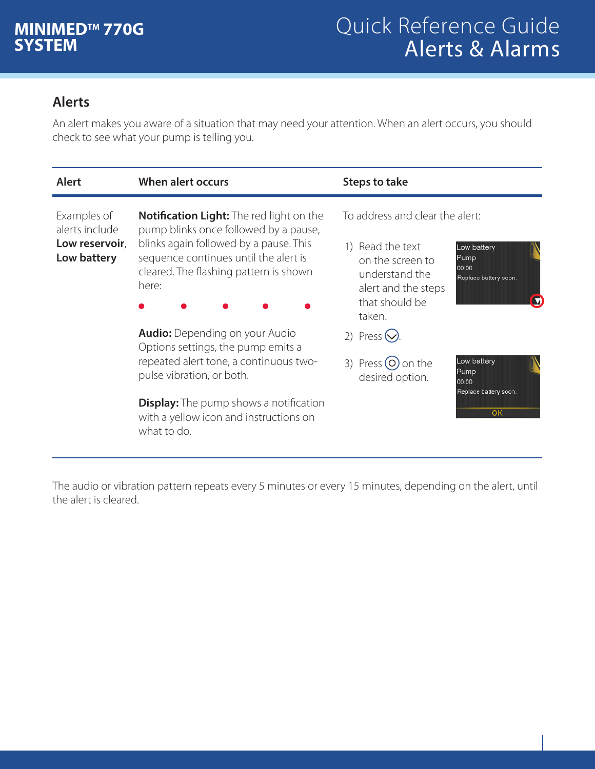## **Alerts**

An alert makes you aware of a situation that may need your attention. When an alert occurs, you should check to see what your pump is telling you.

| <b>Alert</b>                                                   | When alert occurs                                                                                                                                                                                                                                            | Steps to take                                                                                                                                                                                      |
|----------------------------------------------------------------|--------------------------------------------------------------------------------------------------------------------------------------------------------------------------------------------------------------------------------------------------------------|----------------------------------------------------------------------------------------------------------------------------------------------------------------------------------------------------|
| Examples of<br>alerts include<br>Low reservoir,<br>Low battery | <b>Notification Light:</b> The red light on the<br>pump blinks once followed by a pause,<br>blinks again followed by a pause. This<br>sequence continues until the alert is<br>cleared. The flashing pattern is shown<br>here:                               | To address and clear the alert:<br>Read the text<br>Low battery<br>Pump<br>on the screen to<br>00:00<br>understand the<br>Replace battery soon.<br>alert and the steps<br>that should be<br>taken. |
|                                                                | <b>Audio:</b> Depending on your Audio<br>Options settings, the pump emits a<br>repeated alert tone, a continuous two-<br>pulse vibration, or both.<br><b>Display:</b> The pump shows a notification<br>with a yellow icon and instructions on<br>what to do. | 2) Press $\left\langle \right\rangle$ .<br>Low battery<br>3) Press $(O)$ on the<br>Pump<br>desired option.<br>00:00<br>Replace battery soon.<br>OK                                                 |

The audio or vibration pattern repeats every 5 minutes or every 15 minutes, depending on the alert, until the alert is cleared.